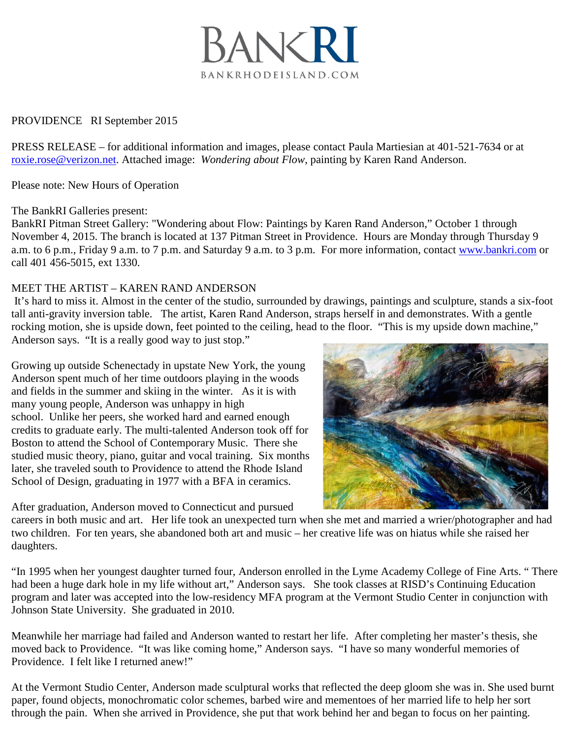

## PROVIDENCE RI September 2015

PRESS RELEASE – for additional information and images, please contact Paula Martiesian at 401-521-7634 or at roxie.rose@verizon.net. Attached image: *Wondering about Flow*, painting by Karen Rand Anderson.

Please note: New Hours of Operation

## The BankRI Galleries present:

BankRI Pitman Street Gallery: "Wondering about Flow: Paintings by Karen Rand Anderson," October 1 through November 4, 2015. The branch is located at 137 Pitman Street in Providence. Hours are Monday through Thursday 9 a.m. to 6 p.m., Friday 9 a.m. to 7 p.m. and Saturday 9 a.m. to 3 p.m. For more information, contact [www.bankri.com](http://www.bankri.com/) or call 401 456-5015, ext 1330.

## MEET THE ARTIST – KAREN RAND ANDERSON

It's hard to miss it. Almost in the center of the studio, surrounded by drawings, paintings and sculpture, stands a six-foot tall anti-gravity inversion table. The artist, Karen Rand Anderson, straps herself in and demonstrates. With a gentle rocking motion, she is upside down, feet pointed to the ceiling, head to the floor. "This is my upside down machine," Anderson says. "It is a really good way to just stop."

Growing up outside Schenectady in upstate New York, the young Anderson spent much of her time outdoors playing in the woods and fields in the summer and skiing in the winter. As it is with many young people, Anderson was unhappy in high school. Unlike her peers, she worked hard and earned enough credits to graduate early. The multi-talented Anderson took off for Boston to attend the School of Contemporary Music. There she studied music theory, piano, guitar and vocal training. Six months later, she traveled south to Providence to attend the Rhode Island School of Design, graduating in 1977 with a BFA in ceramics.

After graduation, Anderson moved to Connecticut and pursued

careers in both music and art. Her life took an unexpected turn when she met and married a wrier/photographer and had two children. For ten years, she abandoned both art and music – her creative life was on hiatus while she raised her daughters.

"In 1995 when her youngest daughter turned four, Anderson enrolled in the Lyme Academy College of Fine Arts. " There had been a huge dark hole in my life without art," Anderson says. She took classes at RISD's Continuing Education program and later was accepted into the low-residency MFA program at the Vermont Studio Center in conjunction with Johnson State University. She graduated in 2010.

Meanwhile her marriage had failed and Anderson wanted to restart her life. After completing her master's thesis, she moved back to Providence. "It was like coming home," Anderson says. "I have so many wonderful memories of Providence. I felt like I returned anew!"

At the Vermont Studio Center, Anderson made sculptural works that reflected the deep gloom she was in. She used burnt paper, found objects, monochromatic color schemes, barbed wire and mementoes of her married life to help her sort through the pain. When she arrived in Providence, she put that work behind her and began to focus on her painting.